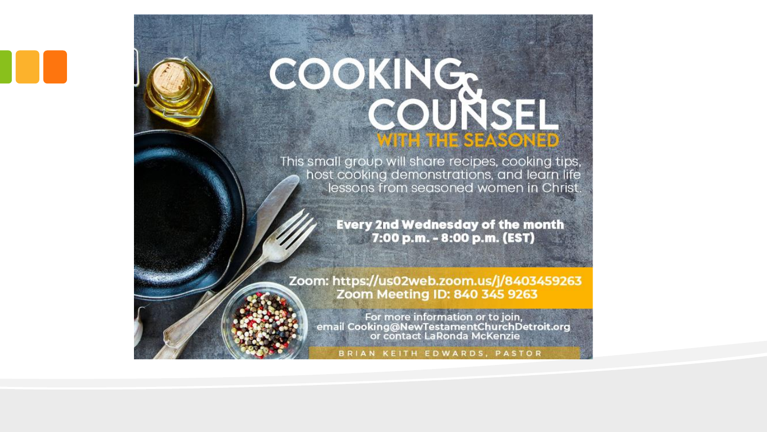# COOKINGS

This small group will share recipes, cooking tips, host cooking demonstrations, and learn life lessons from seasoned women in Christ.

> **Every 2nd Wednesday of the month** 7:00 p.m. - 8:00 p.m. (EST)

Zoom: https://us02web.zoom.us/j/8403459263 Zoom Meeting ID: 840 345 9263



For more information or to join,<br>email Cooking@NewTestamentChurchDetroit.org<br>or contact LaRonda McKenzie

BRIAN KEITH EDWARDS, PASTOR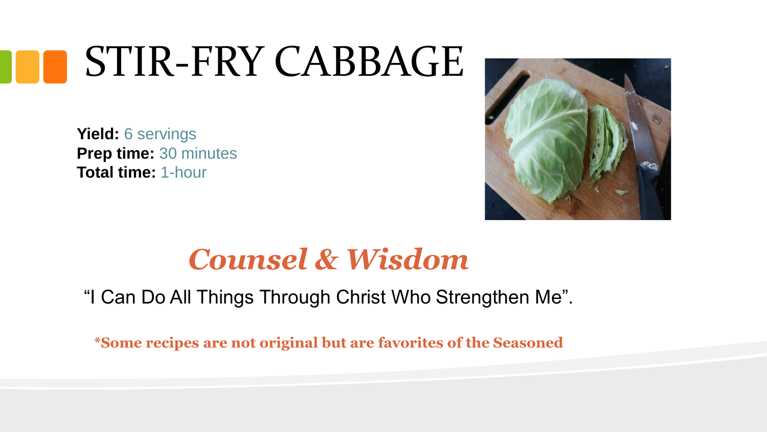## STIR-FRY CABBAGE

**Yield:** 6 servings **Prep time:** 30 minutes **Total time:** 1-hour



### *Counsel & Wisdom*

"I Can Do All Things Through Christ Who Strengthen Me".

**\*Some recipes are not original but are favorites of the Seasoned**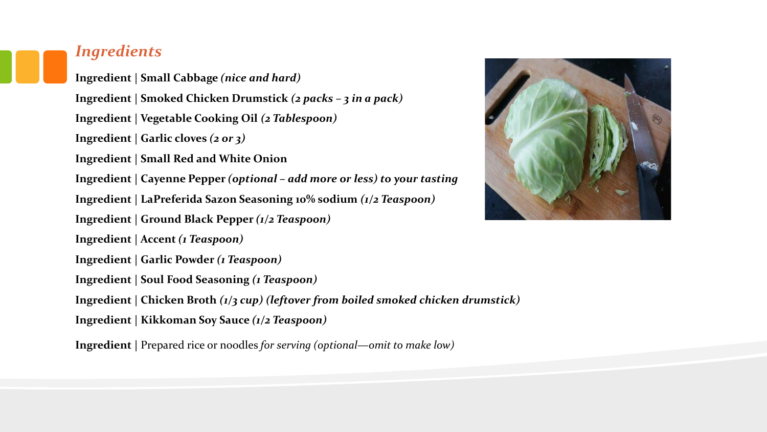#### *Ingredients*

**Ingredient | Small Cabbage** *(nice and hard)* **Ingredient | Smoked Chicken Drumstick** *(2 packs – 3 in a pack)* **Ingredient | Vegetable Cooking Oil** *(2 Tablespoon)* **Ingredient | Garlic cloves** *(2 or 3)* **Ingredient | Small Red and White Onion Ingredient | Cayenne Pepper** *(optional – add more or less) to your tasting* **Ingredient | LaPreferida Sazon Seasoning 10% sodium** *(1/2 Teaspoon)* **Ingredient | Ground Black Pepper** *(1/2 Teaspoon)* **Ingredient | Accent** *(1 Teaspoon)* **Ingredient | Garlic Powder** *(1 Teaspoon)* **Ingredient | Soul Food Seasoning** *(1 Teaspoon)* **Ingredient | Chicken Broth** *(1/3 cup) (leftover from boiled smoked chicken drumstick)* **Ingredient | Kikkoman Soy Sauce** *(1/2 Teaspoon)*

**Ingredient |** Prepared rice or noodles *for serving (optional—omit to make low)*